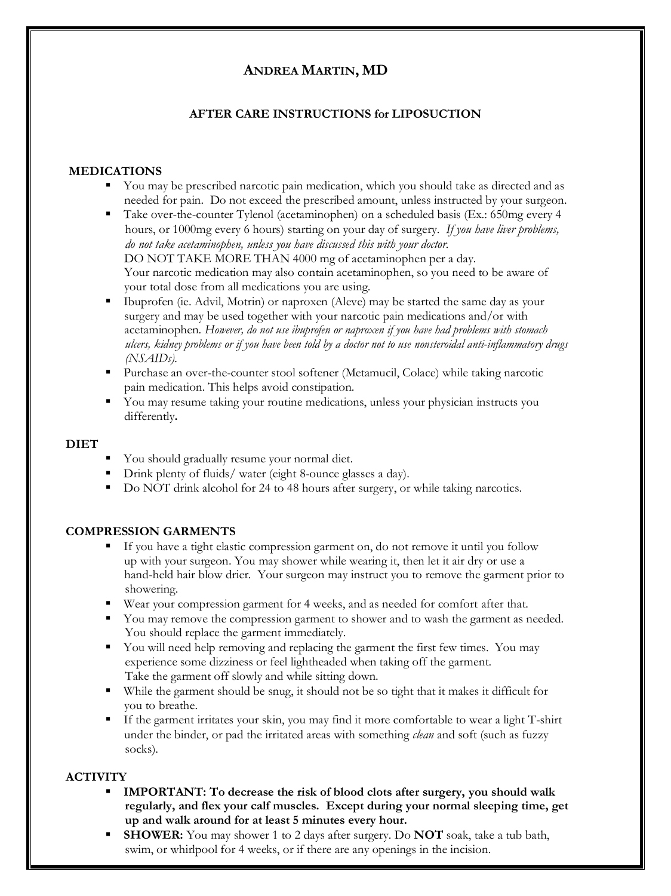# **ANDREA MARTIN, MD**

## **AFTER CARE INSTRUCTIONS for LIPOSUCTION**

## **MEDICATIONS**

- You may be prescribed narcotic pain medication, which you should take as directed and as needed for pain. Do not exceed the prescribed amount, unless instructed by your surgeon.
- Take over-the-counter Tylenol (acetaminophen) on a scheduled basis (Ex.: 650mg every 4 hours, or 1000mg every 6 hours) starting on your day of surgery. *If you have liver problems, do not take acetaminophen, unless you have discussed this with your doctor.*  DO NOT TAKE MORE THAN 4000 mg of acetaminophen per a day. Your narcotic medication may also contain acetaminophen, so you need to be aware of your total dose from all medications you are using.
- Ibuprofen (ie. Advil, Motrin) or naproxen (Aleve) may be started the same day as your surgery and may be used together with your narcotic pain medications and/or with acetaminophen. *However, do not use ibuprofen or naproxen if you have had problems with stomach ulcers, kidney problems or if you have been told by a doctor not to use nonsteroidal anti-inflammatory drugs (NSAIDs).*
- Purchase an over-the-counter stool softener (Metamucil, Colace) while taking narcotic pain medication. This helps avoid constipation.
- You may resume taking your routine medications, unless your physician instructs you differently**.**

#### **DIET**

- You should gradually resume your normal diet.
- **•** Drink plenty of fluids/ water (eight 8-ounce glasses a day).
- Do NOT drink alcohol for 24 to 48 hours after surgery, or while taking narcotics.

## **COMPRESSION GARMENTS**

- If you have a tight elastic compression garment on, do not remove it until you follow up with your surgeon. You may shower while wearing it, then let it air dry or use a hand-held hair blow drier. Your surgeon may instruct you to remove the garment prior to showering.
- Wear your compression garment for 4 weeks, and as needed for comfort after that.
- You may remove the compression garment to shower and to wash the garment as needed. You should replace the garment immediately.
- You will need help removing and replacing the garment the first few times. You may experience some dizziness or feel lightheaded when taking off the garment. Take the garment off slowly and while sitting down.
- While the garment should be snug, it should not be so tight that it makes it difficult for you to breathe.
- If the garment irritates your skin, you may find it more comfortable to wear a light T-shirt under the binder, or pad the irritated areas with something *clean* and soft (such as fuzzy socks).

## **ACTIVITY**

- **IMPORTANT: To decrease the risk of blood clots after surgery, you should walk regularly, and flex your calf muscles. Except during your normal sleeping time, get up and walk around for at least 5 minutes every hour.**
- **SHOWER:** You may shower 1 to 2 days after surgery. Do **NOT** soak, take a tub bath, swim, or whirlpool for 4 weeks, or if there are any openings in the incision.